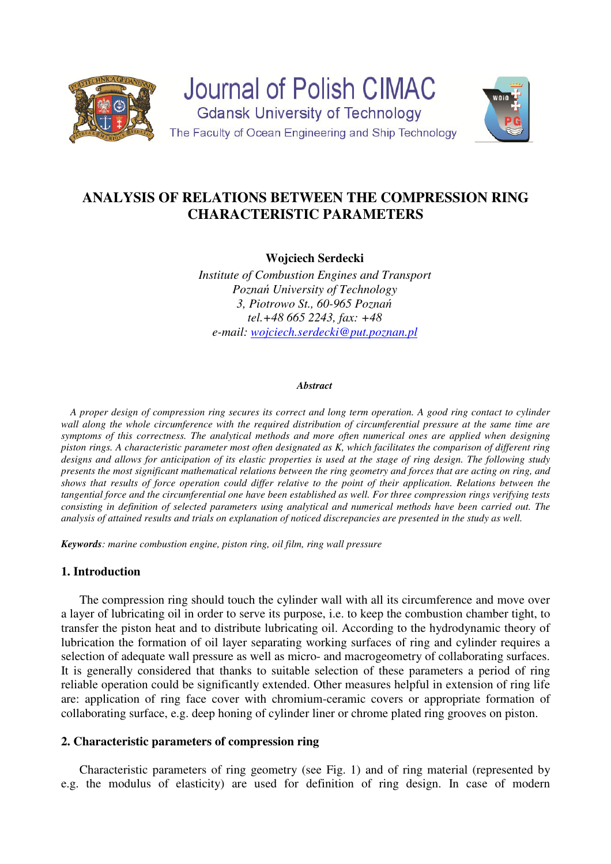



**Wojciech Serdecki** 

*Institute of Combustion Engines and Transport Poznań University of Technology 3, Piotrowo St., 60-965 Poznań tel.+48 665 2243, fax: +48 e-mail: wojciech.serdecki@put.poznan.pl*

#### *Abstract*

*A proper design of compression ring secures its correct and long term operation. A good ring contact to cylinder*  wall along the whole circumference with the required distribution of circumferential pressure at the same time are *symptoms of this correctness. The analytical methods and more often numerical ones are applied when designing piston rings. A characteristic parameter most often designated as K, which facilitates the comparison of different ring designs and allows for anticipation of its elastic properties is used at the stage of ring design. The following study presents the most significant mathematical relations between the ring geometry and forces that are acting on ring, and shows that results of force operation could differ relative to the point of their application. Relations between the tangential force and the circumferential one have been established as well. For three compression rings verifying tests consisting in definition of selected parameters using analytical and numerical methods have been carried out. The analysis of attained results and trials on explanation of noticed discrepancies are presented in the study as well.* 

*Keywords: marine combustion engine, piston ring, oil film, ring wall pressure* 

# **1. Introduction**

The compression ring should touch the cylinder wall with all its circumference and move over a layer of lubricating oil in order to serve its purpose, i.e. to keep the combustion chamber tight, to transfer the piston heat and to distribute lubricating oil. According to the hydrodynamic theory of lubrication the formation of oil layer separating working surfaces of ring and cylinder requires a selection of adequate wall pressure as well as micro- and macrogeometry of collaborating surfaces. It is generally considered that thanks to suitable selection of these parameters a period of ring reliable operation could be significantly extended. Other measures helpful in extension of ring life are: application of ring face cover with chromium-ceramic covers or appropriate formation of collaborating surface, e.g. deep honing of cylinder liner or chrome plated ring grooves on piston.

## **2. Characteristic parameters of compression ring**

Characteristic parameters of ring geometry (see Fig. 1) and of ring material (represented by e.g. the modulus of elasticity) are used for definition of ring design. In case of modern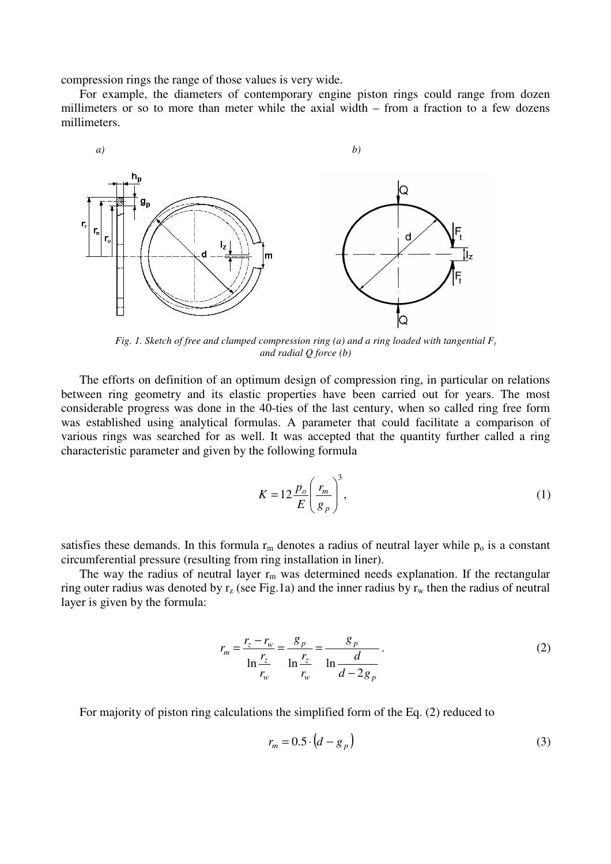compression rings the range of those values is very wide.

For example, the diameters of contemporary engine piston rings could range from dozen millimeters or so to more than meter while the axial width – from a fraction to a few dozens millimeters.



Fig. 1. Sketch of free and clamped compression ring (a) and a ring loaded with tangential  $F_t$ *and radial Q force (b)* 

The efforts on definition of an optimum design of compression ring, in particular on relations between ring geometry and its elastic properties have been carried out for years. The most considerable progress was done in the 40-ties of the last century, when so called ring free form was established using analytical formulas. A parameter that could facilitate a comparison of various rings was searched for as well. It was accepted that the quantity further called a ring characteristic parameter and given by the following formula

$$
K = 12 \frac{p_o}{E} \left(\frac{r_m}{g_p}\right)^3,\tag{1}
$$

satisfies these demands. In this formula  $r_m$  denotes a radius of neutral layer while  $p_0$  is a constant circumferential pressure (resulting from ring installation in liner).

The way the radius of neutral layer  $r_m$  was determined needs explanation. If the rectangular ring outer radius was denoted by  $r_z$  (see Fig.1a) and the inner radius by  $r_w$  then the radius of neutral layer is given by the formula:

$$
r_m = \frac{r_z - r_w}{\ln \frac{r_z}{r_w}} = \frac{g_p}{\ln \frac{r_z}{r_w}} = \frac{g_p}{\ln \frac{d}{d - 2g_p}}.
$$
 (2)

For majority of piston ring calculations the simplified form of the Eq. (2) reduced to

$$
r_m = 0.5 \cdot \left(d - g_p\right) \tag{3}
$$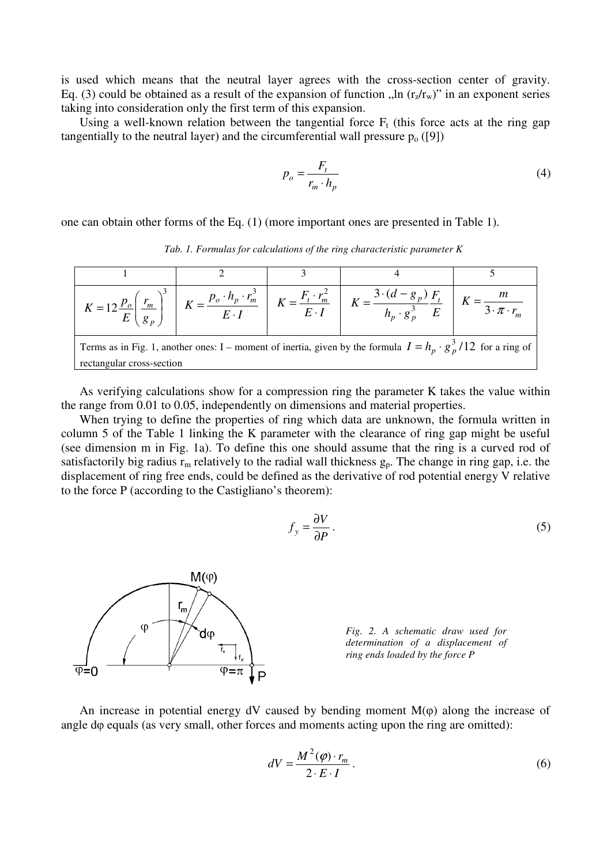is used which means that the neutral layer agrees with the cross-section center of gravity. Eq. (3) could be obtained as a result of the expansion of function  $\ln (r_z/r_w)$ " in an exponent series taking into consideration only the first term of this expansion.

Using a well-known relation between the tangential force  $F_t$  (this force acts at the ring gap tangentially to the neutral layer) and the circumferential wall pressure  $p_0([9])$ 

$$
p_o = \frac{F_t}{r_m \cdot h_p} \tag{4}
$$

one can obtain other forms of the Eq. (1) (more important ones are presented in Table 1).

*Tab. 1. Formulas for calculations of the ring characteristic parameter K* 

|                                                                                                                                                   |  |  | $K = 12 \frac{p_o}{E} \left( \frac{r_m}{g_n} \right)^3 \quad K = \frac{p_o \cdot h_p \cdot r_m^3}{E \cdot I} \quad K = \frac{F_t \cdot r_m^2}{E \cdot I} \quad K = \frac{3 \cdot (d - g_p)}{h_p \cdot g_p^3} \frac{F_t}{E} \quad K = \frac{m}{3 \cdot \pi \cdot r_m}$ |  |  |  |  |
|---------------------------------------------------------------------------------------------------------------------------------------------------|--|--|-----------------------------------------------------------------------------------------------------------------------------------------------------------------------------------------------------------------------------------------------------------------------|--|--|--|--|
| Terms as in Fig. 1, another ones: I – moment of inertia, given by the formula $I = h_n \cdot g_n^3/12$ for a ring of<br>rectangular cross-section |  |  |                                                                                                                                                                                                                                                                       |  |  |  |  |

As verifying calculations show for a compression ring the parameter K takes the value within the range from 0.01 to 0.05, independently on dimensions and material properties.

When trying to define the properties of ring which data are unknown, the formula written in column 5 of the Table 1 linking the K parameter with the clearance of ring gap might be useful (see dimension m in Fig. 1a). To define this one should assume that the ring is a curved rod of satisfactorily big radius  $r_m$  relatively to the radial wall thickness  $g_p$ . The change in ring gap, i.e. the displacement of ring free ends, could be defined as the derivative of rod potential energy V relative to the force P (according to the Castigliano's theorem):

$$
f_y = \frac{\partial V}{\partial P} \,. \tag{5}
$$



*Fig. 2. A schematic draw used for determination of a displacement of ring ends loaded by the force P*

An increase in potential energy  $dV$  caused by bending moment  $M(\varphi)$  along the increase of angle dφ equals (as very small, other forces and moments acting upon the ring are omitted):

$$
dV = \frac{M^2(\varphi) \cdot r_m}{2 \cdot E \cdot I}.
$$
 (6)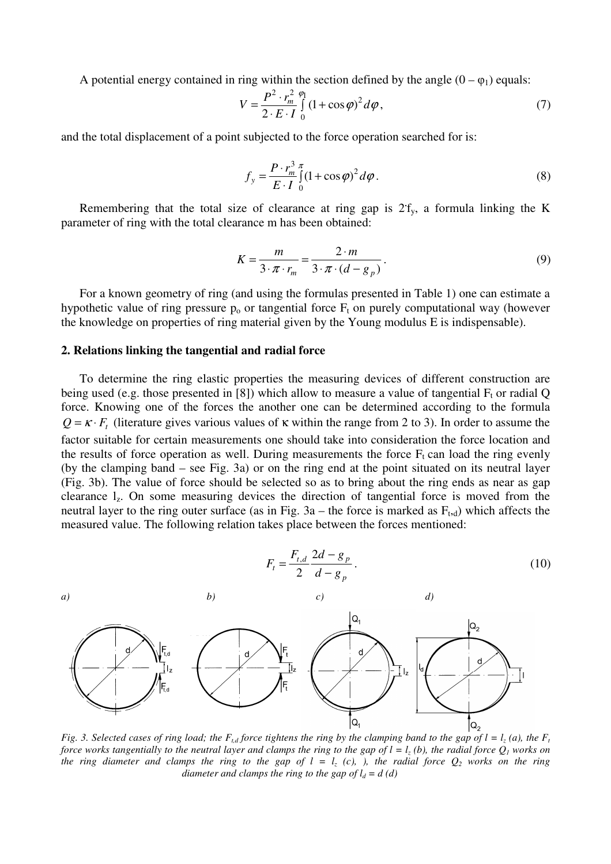A potential energy contained in ring within the section defined by the angle  $(0 - \varphi_1)$  equals:

$$
V = \frac{P^2 \cdot r_m^2}{2 \cdot E \cdot I} \int_0^{\rho_1} (1 + \cos \varphi)^2 d\varphi, \tag{7}
$$

and the total displacement of a point subjected to the force operation searched for is:

$$
f_{y} = \frac{P \cdot r_{m}^{3}}{E \cdot I} \int_{0}^{\pi} (1 + \cos \varphi)^{2} d\varphi.
$$
 (8)

Remembering that the total size of clearance at ring gap is  $2f_y$ , a formula linking the K parameter of ring with the total clearance m has been obtained:

$$
K = \frac{m}{3 \cdot \pi \cdot r_m} = \frac{2 \cdot m}{3 \cdot \pi \cdot (d - g_p)}.
$$
\n(9)

For a known geometry of ring (and using the formulas presented in Table 1) one can estimate a hypothetic value of ring pressure  $p_0$  or tangential force  $F_t$  on purely computational way (however the knowledge on properties of ring material given by the Young modulus E is indispensable).

#### **2. Relations linking the tangential and radial force**

To determine the ring elastic properties the measuring devices of different construction are being used (e.g. those presented in [8]) which allow to measure a value of tangential  $F_t$  or radial Q force. Knowing one of the forces the another one can be determined according to the formula  $Q = \kappa \cdot F_t$  (literature gives various values of  $\kappa$  within the range from 2 to 3). In order to assume the factor suitable for certain measurements one should take into consideration the force location and the results of force operation as well. During measurements the force  $F_t$  can load the ring evenly (by the clamping band – see Fig. 3a) or on the ring end at the point situated on its neutral layer (Fig. 3b). The value of force should be selected so as to bring about the ring ends as near as gap clearance lz. On some measuring devices the direction of tangential force is moved from the neutral layer to the ring outer surface (as in Fig.  $3a$  – the force is marked as  $F_{t,d}$ ) which affects the measured value. The following relation takes place between the forces mentioned:

 $d_{t,d}$  2*a*  $-\frac{1}{8}$   $p$ 

−

 $F_{t,d}$  2*d* – *g* 

2

,



*Fig.* 3. Selected cases of ring load; the  $F_{t,d}$  force tightens the ring by the clamping band to the gap of  $l = l_z(a)$ , the  $F_t$ *force works tangentially to the neutral layer and clamps the ring to the gap of*  $l = l_z(b)$ *, the radial force*  $Q_l$  *works on the ring diameter and clamps the ring to the gap of*  $l = l_z$  *(c), ), the radial force*  $Q_2$  *works on the ring diameter and clamps the ring to the gap of*  $l_d = d$  *(d)*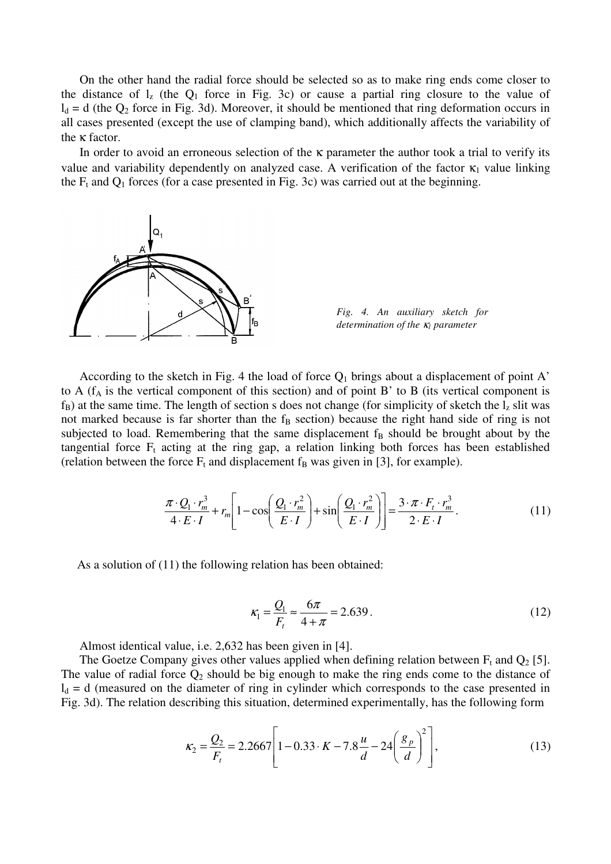On the other hand the radial force should be selected so as to make ring ends come closer to the distance of  $l_z$  (the  $Q_1$  force in Fig. 3c) or cause a partial ring closure to the value of  $l_d = d$  (the  $Q_2$  force in Fig. 3d). Moreover, it should be mentioned that ring deformation occurs in all cases presented (except the use of clamping band), which additionally affects the variability of the κ factor.

In order to avoid an erroneous selection of the  $\kappa$  parameter the author took a trial to verify its value and variability dependently on analyzed case. A verification of the factor  $\kappa_1$  value linking the  $F_t$  and  $Q_1$  forces (for a case presented in Fig. 3c) was carried out at the beginning.





According to the sketch in Fig. 4 the load of force  $Q_1$  brings about a displacement of point A' to A ( $f_A$  is the vertical component of this section) and of point B' to B (its vertical component is  $f_B$ ) at the same time. The length of section s does not change (for simplicity of sketch the  $l_z$  slit was not marked because is far shorter than the  $f_B$  section) because the right hand side of ring is not subjected to load. Remembering that the same displacement  $f_B$  should be brought about by the tangential force  $F_t$  acting at the ring gap, a relation linking both forces has been established (relation between the force  $F_t$  and displacement  $f_B$  was given in [3], for example).

$$
\frac{\pi \cdot Q_1 \cdot r_m^3}{4 \cdot E \cdot I} + r_m \left[ 1 - \cos \left( \frac{Q_1 \cdot r_m^2}{E \cdot I} \right) + \sin \left( \frac{Q_1 \cdot r_m^2}{E \cdot I} \right) \right] = \frac{3 \cdot \pi \cdot F_t \cdot r_m^3}{2 \cdot E \cdot I}.
$$
\n(11)

As a solution of (11) the following relation has been obtained:

$$
\kappa_1 = \frac{Q_1}{F_t} \approx \frac{6\pi}{4 + \pi} = 2.639\,. \tag{12}
$$

Almost identical value, i.e. 2,632 has been given in [4].

The Goetze Company gives other values applied when defining relation between  $F_t$  and  $Q_2$  [5]. The value of radial force  $Q_2$  should be big enough to make the ring ends come to the distance of  $l_d = d$  (measured on the diameter of ring in cylinder which corresponds to the case presented in Fig. 3d). The relation describing this situation, determined experimentally, has the following form

$$
\kappa_2 = \frac{Q_2}{F_t} = 2.2667 \left[ 1 - 0.33 \cdot K - 7.8 \frac{u}{d} - 24 \left( \frac{g_p}{d} \right)^2 \right],\tag{13}
$$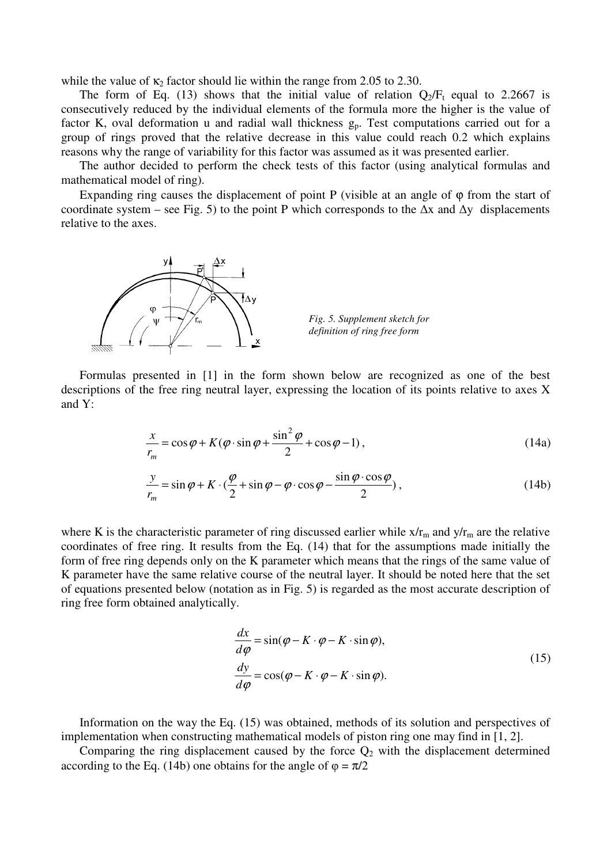while the value of  $\kappa_2$  factor should lie within the range from 2.05 to 2.30.

The form of Eq. (13) shows that the initial value of relation  $Q_2/F_t$  equal to 2.2667 is consecutively reduced by the individual elements of the formula more the higher is the value of factor K, oval deformation u and radial wall thickness  $g_p$ . Test computations carried out for a group of rings proved that the relative decrease in this value could reach 0.2 which explains reasons why the range of variability for this factor was assumed as it was presented earlier.

The author decided to perform the check tests of this factor (using analytical formulas and mathematical model of ring).

Expanding ring causes the displacement of point P (visible at an angle of  $\varphi$  from the start of coordinate system – see Fig. 5) to the point P which corresponds to the  $\Delta x$  and  $\Delta y$  displacements relative to the axes.



*Fig. 5. Supplement sketch for definition of ring free form* 

Formulas presented in [1] in the form shown below are recognized as one of the best descriptions of the free ring neutral layer, expressing the location of its points relative to axes X and Y:

$$
\frac{x}{r_m} = \cos\varphi + K(\varphi \cdot \sin\varphi + \frac{\sin^2\varphi}{2} + \cos\varphi - 1),
$$
\n(14a)

$$
\frac{y}{r_m} = \sin \varphi + K \cdot \left(\frac{\varphi}{2} + \sin \varphi - \varphi \cdot \cos \varphi - \frac{\sin \varphi \cdot \cos \varphi}{2}\right),\tag{14b}
$$

where K is the characteristic parameter of ring discussed earlier while  $x/r_m$  and  $y/r_m$  are the relative coordinates of free ring. It results from the Eq. (14) that for the assumptions made initially the form of free ring depends only on the K parameter which means that the rings of the same value of K parameter have the same relative course of the neutral layer. It should be noted here that the set of equations presented below (notation as in Fig. 5) is regarded as the most accurate description of ring free form obtained analytically.

$$
\frac{dx}{d\varphi} = \sin(\varphi - K \cdot \varphi - K \cdot \sin \varphi),\n\frac{dy}{d\varphi} = \cos(\varphi - K \cdot \varphi - K \cdot \sin \varphi).
$$
\n(15)

Information on the way the Eq. (15) was obtained, methods of its solution and perspectives of implementation when constructing mathematical models of piston ring one may find in [1, 2].

Comparing the ring displacement caused by the force  $Q_2$  with the displacement determined according to the Eq. (14b) one obtains for the angle of  $\varphi = \pi/2$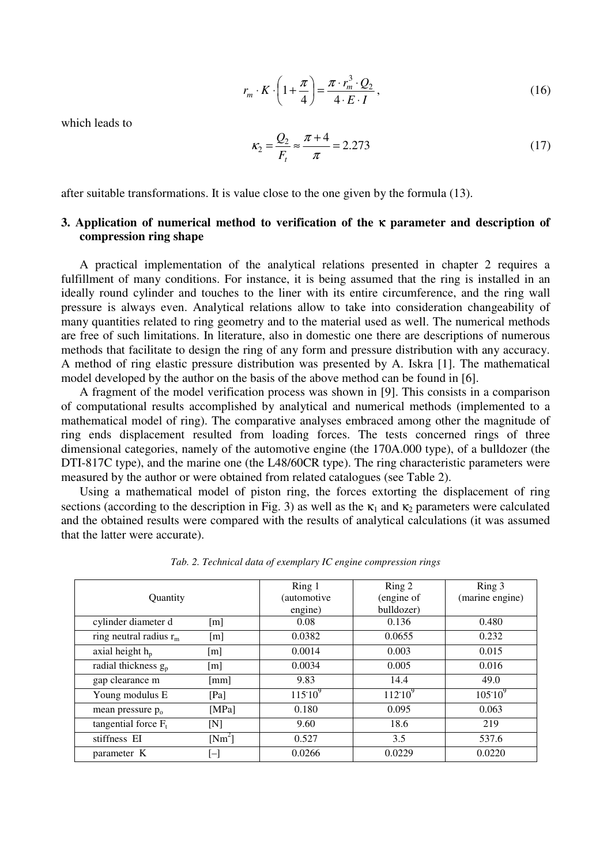$$
r_m \cdot K \cdot \left(1 + \frac{\pi}{4}\right) = \frac{\pi \cdot r_m^3 \cdot Q_2}{4 \cdot E \cdot I},
$$
\n(16)

which leads to

$$
\kappa_2 = \frac{Q_2}{F_t} \approx \frac{\pi + 4}{\pi} = 2.273\tag{17}
$$

after suitable transformations. It is value close to the one given by the formula (13).

# **3. Application of numerical method to verification of the** κ **parameter and description of compression ring shape**

A practical implementation of the analytical relations presented in chapter 2 requires a fulfillment of many conditions. For instance, it is being assumed that the ring is installed in an ideally round cylinder and touches to the liner with its entire circumference, and the ring wall pressure is always even. Analytical relations allow to take into consideration changeability of many quantities related to ring geometry and to the material used as well. The numerical methods are free of such limitations. In literature, also in domestic one there are descriptions of numerous methods that facilitate to design the ring of any form and pressure distribution with any accuracy. A method of ring elastic pressure distribution was presented by A. Iskra [1]. The mathematical model developed by the author on the basis of the above method can be found in [6].

A fragment of the model verification process was shown in [9]. This consists in a comparison of computational results accomplished by analytical and numerical methods (implemented to a mathematical model of ring). The comparative analyses embraced among other the magnitude of ring ends displacement resulted from loading forces. The tests concerned rings of three dimensional categories, namely of the automotive engine (the 170A.000 type), of a bulldozer (the DTI-817C type), and the marine one (the L48/60CR type). The ring characteristic parameters were measured by the author or were obtained from related catalogues (see Table 2).

Using a mathematical model of piston ring, the forces extorting the displacement of ring sections (according to the description in Fig. 3) as well as the  $\kappa_1$  and  $\kappa_2$  parameters were calculated and the obtained results were compared with the results of analytical calculations (it was assumed that the latter were accurate).

|                                  |                         | Ring 1           | Ring 2       | Ring 3          |  |
|----------------------------------|-------------------------|------------------|--------------|-----------------|--|
| Quantity                         |                         | (automotive)     | (engine of   | (marine engine) |  |
|                                  |                         | engine)          | bulldozer)   |                 |  |
| cylinder diameter d              | [m]                     | 0.08             | 0.136        | 0.480           |  |
| ring neutral radius $r_m$<br>[m] |                         | 0.0382<br>0.0655 |              | 0.232           |  |
| axial height $h_p$               | $\lceil m \rceil$       | 0.0014           | 0.003        | 0.015           |  |
| radial thickness g <sub>p</sub>  | $\lceil m \rceil$       | 0.0034           | 0.005        | 0.016           |  |
| gap clearance m                  | $\lceil$ mm $\rceil$    | 9.83             | 14.4         | 49.0            |  |
| Young modulus E                  | [Pa]                    | $115:10^{9}$     | $112:10^{9}$ | $105.10^{9}$    |  |
| mean pressure $p_0$              | [MPa]                   | 0.180            | 0.095        | 0.063           |  |
| tangential force $F_t$           | [N]                     | 9.60             | 18.6         | 219             |  |
| stiffness EI                     | $[Nm^2]$                | 0.527            | 3.5          | 537.6           |  |
| parameter K                      | $\mathop{[-]}\nolimits$ | 0.0266           | 0.0229       | 0.0220          |  |

*Tab. 2. Technical data of exemplary IC engine compression rings*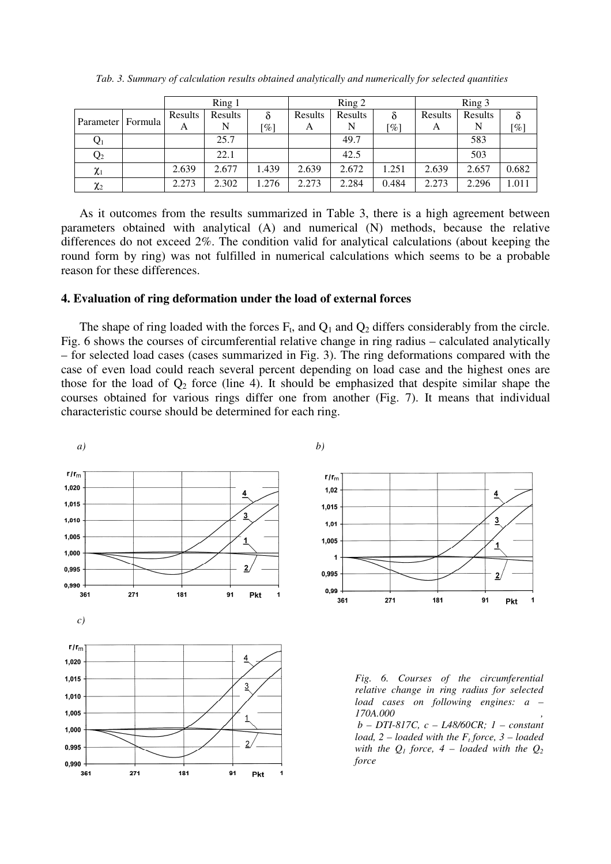| Ring 1            |  |              | Ring 2       |                    |              | Ring 3  |                         |              |              |        |
|-------------------|--|--------------|--------------|--------------------|--------------|---------|-------------------------|--------------|--------------|--------|
| Parameter Formula |  | Results<br>A | Results<br>N | $\lceil \% \rceil$ | Results<br>A | Results | δ<br>$\lceil \% \rceil$ | Results<br>A | Results<br>N | $[\%]$ |
| $\mathrm{Q}_1$    |  |              | 25.7         |                    |              | 49.7    |                         |              | 583          |        |
| $Q_2$             |  |              | 22.1         |                    |              | 42.5    |                         |              | 503          |        |
| $\chi_1$          |  | 2.639        | 2.677        | 1.439              | 2.639        | 2.672   | 1.251                   | 2.639        | 2.657        | 0.682  |
| $\chi_2$          |  | 2.273        | 2.302        | 1.276              | 2.273        | 2.284   | 0.484                   | 2.273        | 2.296        | 1.011  |

*Tab. 3. Summary of calculation results obtained analytically and numerically for selected quantities* 

As it outcomes from the results summarized in Table 3, there is a high agreement between parameters obtained with analytical (A) and numerical (N) methods, because the relative differences do not exceed 2%. The condition valid for analytical calculations (about keeping the round form by ring) was not fulfilled in numerical calculations which seems to be a probable reason for these differences.

### **4. Evaluation of ring deformation under the load of external forces**

The shape of ring loaded with the forces  $F_t$ , and  $Q_1$  and  $Q_2$  differs considerably from the circle. Fig. 6 shows the courses of circumferential relative change in ring radius – calculated analytically – for selected load cases (cases summarized in Fig. 3). The ring deformations compared with the case of even load could reach several percent depending on load case and the highest ones are those for the load of  $Q_2$  force (line 4). It should be emphasized that despite similar shape the courses obtained for various rings differ one from another (Fig. 7). It means that individual characteristic course should be determined for each ring.